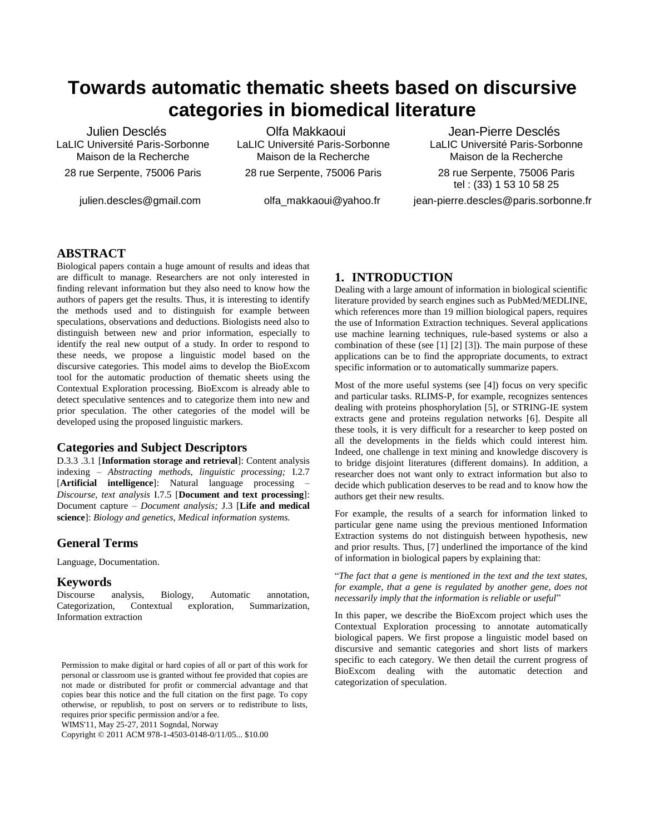# **Towards automatic thematic sheets based on discursive categories in biomedical literature**

Julien Desclés LaLIC Université Paris-Sorbonne Maison de la Recherche 28 rue Serpente, 75006 Paris

julien.descles@gmail.com

Olfa Makkaoui LaLIC Université Paris-Sorbonne Maison de la Recherche 28 rue Serpente, 75006 Paris

olfa\_makkaoui@yahoo.fr

Jean-Pierre Desclés LaLIC Université Paris-Sorbonne Maison de la Recherche 28 rue Serpente, 75006 Paris tel : (33) 1 53 10 58 25 [jean-pierre.descles@paris.sorbonne.fr](mailto:jean-pierre.descles@paris.sorbonne.fr)

# **ABSTRACT**

Biological papers contain a huge amount of results and ideas that are difficult to manage. Researchers are not only interested in finding relevant information but they also need to know how the authors of papers get the results. Thus, it is interesting to identify the methods used and to distinguish for example between speculations, observations and deductions. Biologists need also to distinguish between new and prior information, especially to identify the real new output of a study. In order to respond to these needs, we propose a linguistic model based on the discursive categories. This model aims to develop the BioExcom tool for the automatic production of thematic sheets using the Contextual Exploration processing. BioExcom is already able to detect speculative sentences and to categorize them into new and prior speculation. The other categories of the model will be developed using the proposed linguistic markers.

# **Categories and Subject Descriptors**

D.3.3 .3.1 [**Information storage and retrieval**]: Content analysis indexing – *Abstracting methods, linguistic processing;* I.2.7 [**Artificial intelligence**]: Natural language processing – *Discourse, text analysis* I.7.5 [**Document and text processing**]: Document capture – *Document analysis;* J.3 [**Life and medical science**]: *Biology and genetics, Medical information systems.*

# **General Terms**

Language, Documentation.

# **Keywords**

Discourse analysis, Biology, Automatic annotation, Categorization, Contextual exploration, Summarization, Information extraction

WIMS'11, May 25-27, 2011 Sogndal, Norway

Copyright © 2011 ACM 978-1-4503-0148-0/11/05... \$10.00

# **1. INTRODUCTION**

Dealing with a large amount of information in biological scientific literature provided by search engines such as PubMed/MEDLINE, which references more than 19 million biological papers, requires the use of Information Extraction techniques. Several applications use machine learning techniques, rule-based systems or also a combination of these (see [1] [2] [3]). The main purpose of these applications can be to find the appropriate documents, to extract specific information or to automatically summarize papers.

Most of the more useful systems (see [4]) focus on very specific and particular tasks. RLIMS-P, for example, recognizes sentences dealing with proteins phosphorylation [5], or STRING-IE system extracts gene and proteins regulation networks [6]. Despite all these tools, it is very difficult for a researcher to keep posted on all the developments in the fields which could interest him. Indeed, one challenge in text mining and knowledge discovery is to bridge disjoint literatures (different domains). In addition, a researcher does not want only to extract information but also to decide which publication deserves to be read and to know how the authors get their new results.

For example, the results of a search for information linked to particular gene name using the previous mentioned Information Extraction systems do not distinguish between hypothesis, new and prior results. Thus, [7] underlined the importance of the kind of information in biological papers by explaining that:

"*The fact that a gene is mentioned in the text and the text states, for example, that a gene is regulated by another gene, does not necessarily imply that the information is reliable or useful*"

In this paper, we describe the BioExcom project which uses the Contextual Exploration processing to annotate automatically biological papers. We first propose a linguistic model based on discursive and semantic categories and short lists of markers specific to each category. We then detail the current progress of BioExcom dealing with the automatic detection and categorization of speculation.

Permission to make digital or hard copies of all or part of this work for personal or classroom use is granted without fee provided that copies are not made or distributed for profit or commercial advantage and that copies bear this notice and the full citation on the first page. To copy otherwise, or republish, to post on servers or to redistribute to lists, requires prior specific permission and/or a fee.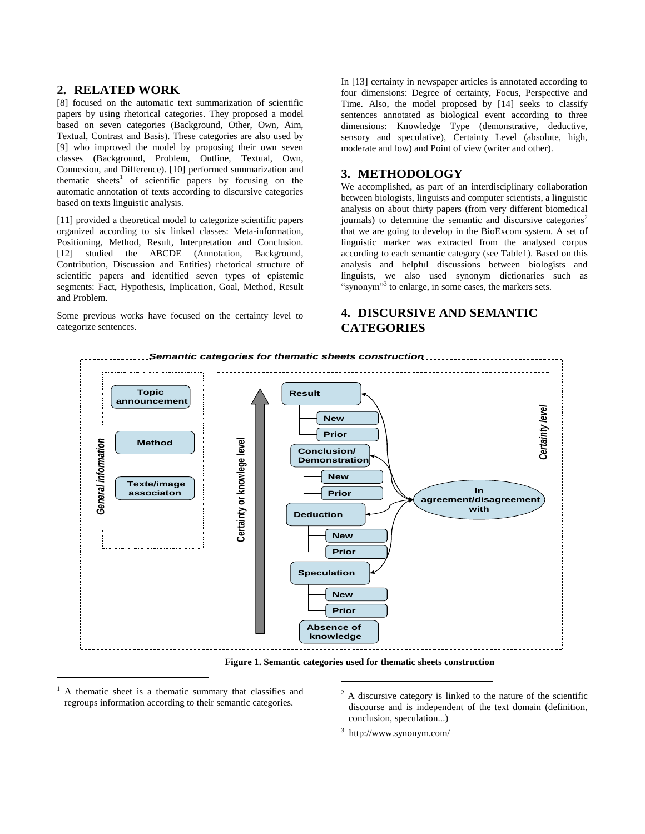# **2. RELATED WORK**

[8] focused on the automatic text summarization of scientific papers by using rhetorical categories. They proposed a model based on seven categories (Background, Other, Own, Aim, Textual, Contrast and Basis). These categories are also used by [9] who improved the model by proposing their own seven classes (Background, Problem, Outline, Textual, Own, Connexion, and Difference). [10] performed summarization and thematic sheets<sup>1</sup> of scientific papers by focusing on the automatic annotation of texts according to discursive categories based on texts linguistic analysis.

[11] provided a theoretical model to categorize scientific papers organized according to six linked classes: Meta-information, Positioning, Method, Result, Interpretation and Conclusion. [12] studied the ABCDE (Annotation, Background, Contribution, Discussion and Entities) rhetorical structure of scientific papers and identified seven types of epistemic segments: Fact, Hypothesis, Implication, Goal, Method, Result and Problem.

Some previous works have focused on the certainty level to categorize sentences.

In [13] certainty in newspaper articles is annotated according to four dimensions: Degree of certainty, Focus, Perspective and Time. Also, the model proposed by [14] seeks to classify sentences annotated as biological event according to three dimensions: Knowledge Type (demonstrative, deductive, sensory and speculative), Certainty Level (absolute, high, moderate and low) and Point of view (writer and other).

# **3. METHODOLOGY**

We accomplished, as part of an interdisciplinary collaboration between biologists, linguists and computer scientists, a linguistic analysis on about thirty papers (from very different biomedical journals) to determine the semantic and discursive categories<sup>2</sup> that we are going to develop in the BioExcom system. A set of linguistic marker was extracted from the analysed corpus according to each semantic category (see Table1). Based on this analysis and helpful discussions between biologists and linguists, we also used synonym dictionaries such as "synonym"<sup>3</sup> to enlarge, in some cases, the markers sets.

# **4. DISCURSIVE AND SEMANTIC CATEGORIES**



**Figure 1. Semantic categories used for thematic sheets construction**

 $\overline{a}$ 

<sup>1</sup> A thematic sheet is a thematic summary that classifies and regroups information according to their semantic categories.

 $\overline{a}$ 

 $2 \text{ A}$  discursive category is linked to the nature of the scientific discourse and is independent of the text domain (definition, conclusion, speculation...)

3 http://www.synonym.com/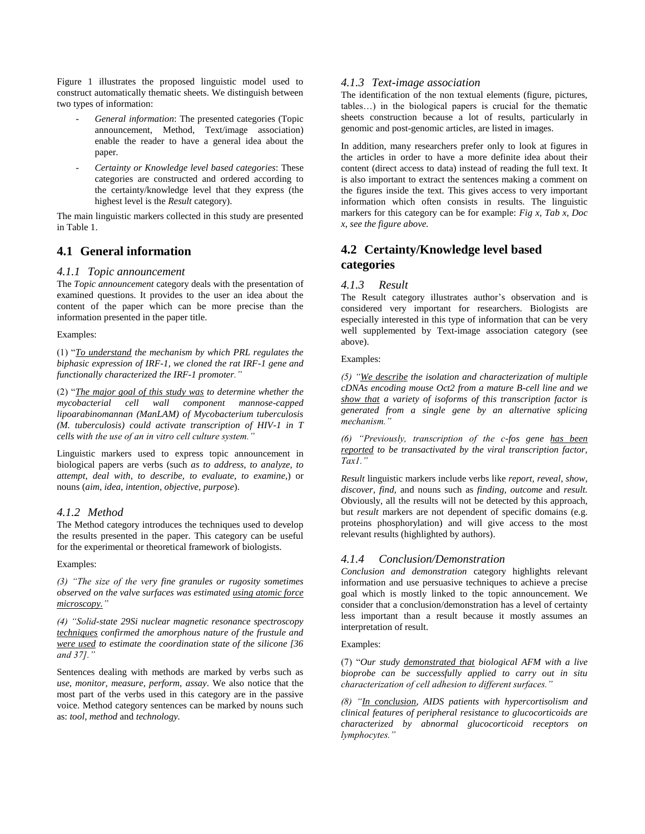Figure 1 illustrates the proposed linguistic model used to construct automatically thematic sheets. We distinguish between two types of information:

- *General information*: The presented categories (Topic announcement, Method, Text/image association) enable the reader to have a general idea about the paper.
- *Certainty or Knowledge level based categories*: These categories are constructed and ordered according to the certainty/knowledge level that they express (the highest level is the *Result* category).

The main linguistic markers collected in this study are presented in Table 1.

# **4.1 General information**

#### *4.1.1 Topic announcement*

The *Topic announcement* category deals with the presentation of examined questions. It provides to the user an idea about the content of the paper which can be more precise than the information presented in the paper title.

#### Examples:

(1) "*To understand the mechanism by which PRL regulates the biphasic expression of IRF-1, we cloned the rat IRF-1 gene and functionally characterized the IRF-1 promoter."* 

(2) "*The major goal of this study was to determine whether the mycobacterial cell wall component mannose-capped lipoarabinomannan (ManLAM) of Mycobacterium tuberculosis (M. tuberculosis) could activate transcription of HIV-1 in T cells with the use of an in vitro cell culture system."* 

Linguistic markers used to express topic announcement in biological papers are verbs (such *as to address, to analyze, to attempt, deal with, to describe, to evaluate, to examine,*) or nouns (*aim, idea, intention, objective, purpose*).

#### *4.1.2 Method*

The Method category introduces the techniques used to develop the results presented in the paper. This category can be useful for the experimental or theoretical framework of biologists.

Examples:

*(3) "The size of the very fine granules or rugosity sometimes observed on the valve surfaces was estimated using atomic force microscopy."* 

*(4) "Solid-state 29Si nuclear magnetic resonance spectroscopy techniques confirmed the amorphous nature of the frustule and were used to estimate the coordination state of the silicone [36 and 37]."* 

Sentences dealing with methods are marked by verbs such as *use, monitor, measure, perform, assay*. We also notice that the most part of the verbs used in this category are in the passive voice. Method category sentences can be marked by nouns such as: *tool, method* and *technology.*

#### *4.1.3 Text-image association*

The identification of the non textual elements (figure, pictures, tables…) in the biological papers is crucial for the thematic sheets construction because a lot of results, particularly in genomic and post-genomic articles, are listed in images.

In addition, many researchers prefer only to look at figures in the articles in order to have a more definite idea about their content (direct access to data) instead of reading the full text. It is also important to extract the sentences making a comment on the figures inside the text. This gives access to very important information which often consists in results. The linguistic markers for this category can be for example: *Fig x, Tab x, Doc x, see the figure above.*

# **4.2 Certainty/Knowledge level based categories**

### *4.1.3 Result*

The Result category illustrates author's observation and is considered very important for researchers. Biologists are especially interested in this type of information that can be very well supplemented by Text-image association category (see above).

#### Examples:

*(5) "We describe the isolation and characterization of multiple cDNAs encoding mouse Oct2 from a mature B-cell line and we show that a variety of isoforms of this transcription factor is generated from a single gene by an alternative splicing mechanism."* 

*(6) "Previously, transcription of the c-fos gene has been reported to be transactivated by the viral transcription factor, Tax1."* 

*Result* linguistic markers include verbs like *report, reveal, show, discover, find,* and nouns such as *finding, outcome* and *result.* Obviously, all the results will not be detected by this approach, but *result* markers are not dependent of specific domains (e.g. proteins phosphorylation) and will give access to the most relevant results (highlighted by authors).

#### *4.1.4 Conclusion/Demonstration*

*Conclusion and demonstration* category highlights relevant information and use persuasive techniques to achieve a precise goal which is mostly linked to the topic announcement. We consider that a conclusion/demonstration has a level of certainty less important than a result because it mostly assumes an interpretation of result.

#### Examples:

(7) "*Our study demonstrated that biological AFM with a live bioprobe can be successfully applied to carry out in situ characterization of cell adhesion to different surfaces."* 

*(8) "In conclusion, AIDS patients with hypercortisolism and clinical features of peripheral resistance to glucocorticoids are characterized by abnormal glucocorticoid receptors on lymphocytes."*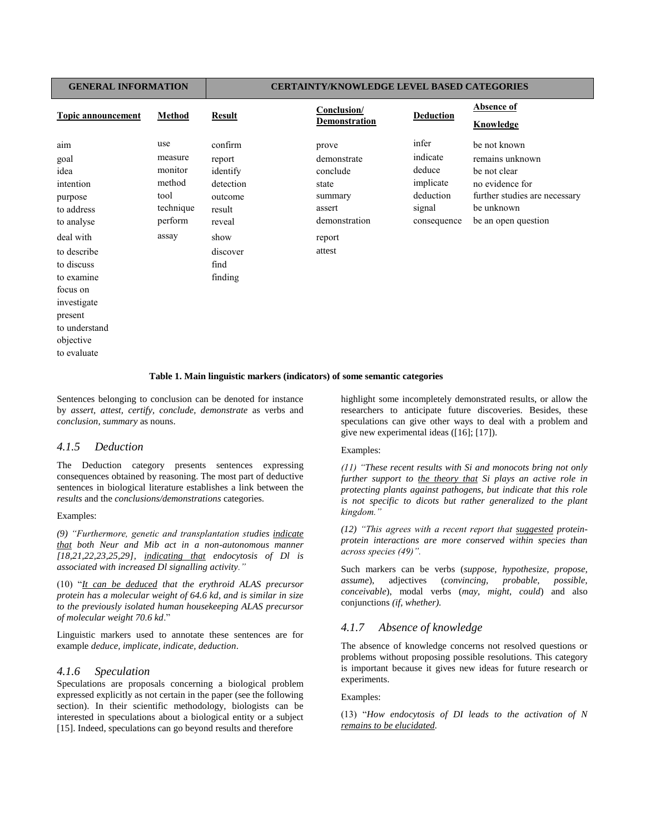#### **GENERAL INFORMATION CERTAINTY/KNOWLEDGE LEVEL BASED CATEGORIES**

| <b>Topic announcement</b> | Method    | <b>Result</b> | Conclusion/<br>Demonstration | <b>Deduction</b> | Absence of<br>Knowledge       |
|---------------------------|-----------|---------------|------------------------------|------------------|-------------------------------|
| aim                       | use       | confirm       | prove                        | infer            | be not known                  |
| goal                      | measure   | report        | demonstrate                  | indicate         | remains unknown               |
| idea                      | monitor   | identify      | conclude                     | deduce           | be not clear                  |
| intention                 | method    | detection     | state                        | implicate        | no evidence for               |
| purpose                   | tool      | outcome       | summary                      | deduction        | further studies are necessary |
| to address                | technique | result        | assert                       | signal           | be unknown                    |
| to analyse                | perform   | reveal        | demonstration                | consequence      | be an open question           |
| deal with                 | assay     | show          | report                       |                  |                               |
| to describe               |           | discover      | attest                       |                  |                               |
| to discuss                |           | find          |                              |                  |                               |
| to examine                |           | finding       |                              |                  |                               |
| focus on                  |           |               |                              |                  |                               |
| investigate               |           |               |                              |                  |                               |
| present                   |           |               |                              |                  |                               |
| to understand             |           |               |                              |                  |                               |
| objective                 |           |               |                              |                  |                               |
| to evaluate               |           |               |                              |                  |                               |

#### **Table 1. Main linguistic markers (indicators) of some semantic categories**

Sentences belonging to conclusion can be denoted for instance by *assert, attest, certify, conclude, demonstrate* as verbs and *conclusion, summary* as nouns.

#### *4.1.5 Deduction*

The Deduction category presents sentences expressing consequences obtained by reasoning. The most part of deductive sentences in biological literature establishes a link between the *results* and the *conclusions/demonstrations* categories.

#### Examples:

*(9) "Furthermore, genetic and transplantation studies indicate that both Neur and Mib act in a non-autonomous manner [18,21,22,23,25,29], indicating that endocytosis of Dl is associated with increased Dl signalling activity."* 

(10) "*It can be deduced that the erythroid ALAS precursor protein has a molecular weight of 64.6 kd, and is similar in size to the previously isolated human housekeeping ALAS precursor of molecular weight 70.6 kd*."

Linguistic markers used to annotate these sentences are for example *deduce, implicate, indicate, deduction*.

#### *4.1.6 Speculation*

Speculations are proposals concerning a biological problem expressed explicitly as not certain in the paper (see the following section). In their scientific methodology, biologists can be interested in speculations about a biological entity or a subject [15]. Indeed, speculations can go beyond results and therefore

highlight some incompletely demonstrated results, or allow the researchers to anticipate future discoveries. Besides, these speculations can give other ways to deal with a problem and give new experimental ideas ([16]; [17]).

#### Examples:

*(11) "These recent results with Si and monocots bring not only further support to the theory that Si plays an active role in protecting plants against pathogens, but indicate that this role is not specific to dicots but rather generalized to the plant kingdom."* 

*(12) "This agrees with a recent report that suggested proteinprotein interactions are more conserved within species than across species (49)".*

Such markers can be verbs (*suppose, hypothesize, propose, assume*), adjectives (*convincing, probable, possible, conceivable*), modal verbs (*may, might, could*) and also conjunctions *(if, whether).*

#### *4.1.7 Absence of knowledge*

The absence of knowledge concerns not resolved questions or problems without proposing possible resolutions. This category is important because it gives new ideas for future research or experiments.

#### Examples:

(13) "*How endocytosis of DI leads to the activation of N remains to be elucidated.*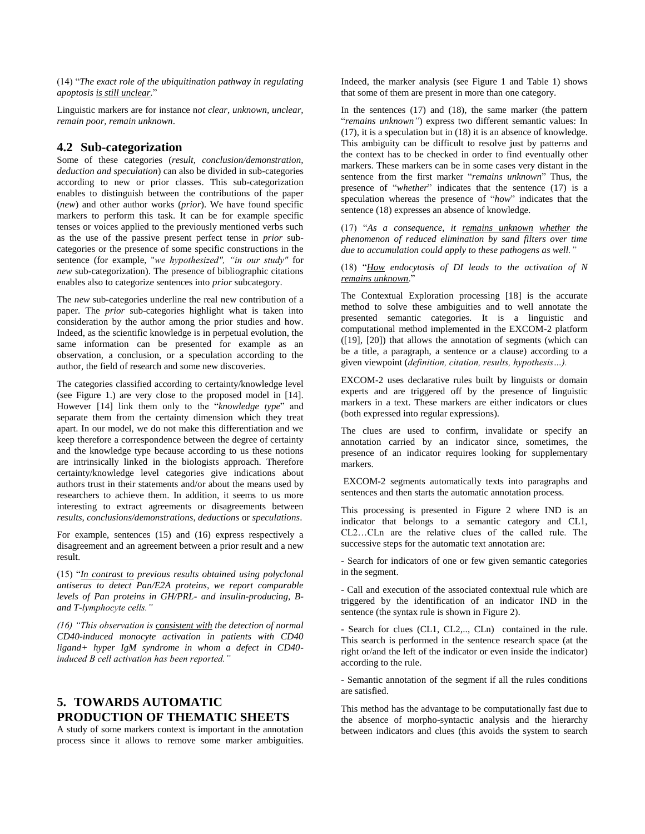(14) "*The exact role of the ubiquitination pathway in regulating apoptosis is still unclear*."

Linguistic markers are for instance n*ot clear, unknown, unclear, remain poor, remain unknown*.

# **4.2 Sub-categorization**

Some of these categories (*result, conclusion/demonstration, deduction and speculation*) can also be divided in sub-categories according to new or prior classes. This sub-categorization enables to distinguish between the contributions of the paper (*new*) and other author works (*prior*). We have found specific markers to perform this task. It can be for example specific tenses or voices applied to the previously mentioned verbs such as the use of the passive present perfect tense in *prior* subcategories or the presence of some specific constructions in the sentence (for example, "*we hypothesized", "in our study"* for *new* sub-categorization). The presence of bibliographic citations enables also to categorize sentences into *prior* subcategory.

The *new* sub-categories underline the real new contribution of a paper. The *prior* sub-categories highlight what is taken into consideration by the author among the prior studies and how. Indeed, as the scientific knowledge is in perpetual evolution, the same information can be presented for example as an observation, a conclusion, or a speculation according to the author, the field of research and some new discoveries.

The categories classified according to certainty/knowledge level (see Figure 1.) are very close to the proposed model in [14]. However [14] link them only to the "*knowledge type*" and separate them from the certainty dimension which they treat apart. In our model, we do not make this differentiation and we keep therefore a correspondence between the degree of certainty and the knowledge type because according to us these notions are intrinsically linked in the biologists approach. Therefore certainty/knowledge level categories give indications about authors trust in their statements and/or about the means used by researchers to achieve them. In addition, it seems to us more interesting to extract agreements or disagreements between *results, conclusions/demonstrations, deductions* or *speculations*.

For example, sentences (15) and (16) express respectively a disagreement and an agreement between a prior result and a new result.

(15) "*In contrast to previous results obtained using polyclonal antiseras to detect Pan/E2A proteins, we report comparable levels of Pan proteins in GH/PRL- and insulin-producing, Band T-lymphocyte cells."* 

*(16) "This observation is consistent with the detection of normal CD40-induced monocyte activation in patients with CD40 ligand+ hyper IgM syndrome in whom a defect in CD40 induced B cell activation has been reported."*

# **5. TOWARDS AUTOMATIC PRODUCTION OF THEMATIC SHEETS**

A study of some markers context is important in the annotation process since it allows to remove some marker ambiguities.

Indeed, the marker analysis (see Figure 1 and Table 1) shows that some of them are present in more than one category.

In the sentences (17) and (18), the same marker (the pattern "*remains unknown"*) express two different semantic values: In (17), it is a speculation but in (18) it is an absence of knowledge. This ambiguity can be difficult to resolve just by patterns and the context has to be checked in order to find eventually other markers. These markers can be in some cases very distant in the sentence from the first marker "*remains unknown*" Thus, the presence of "*whether*" indicates that the sentence (17) is a speculation whereas the presence of "*how*" indicates that the sentence (18) expresses an absence of knowledge.

(17) "*As a consequence, it remains unknown whether the phenomenon of reduced elimination by sand filters over time due to accumulation could apply to these pathogens as well."* 

(18) "*How endocytosis of DI leads to the activation of N remains unknown*."

The Contextual Exploration processing [18] is the accurate method to solve these ambiguities and to well annotate the presented semantic categories. It is a linguistic and computational method implemented in the EXCOM-2 platform ([19], [20]) that allows the annotation of segments (which can be a title, a paragraph, a sentence or a clause) according to a given viewpoint (*definition, citation, results, hypothesis…).* 

EXCOM-2 uses declarative rules built by linguists or domain experts and are triggered off by the presence of linguistic markers in a text. These markers are either indicators or clues (both expressed into regular expressions).

The clues are used to confirm, invalidate or specify an annotation carried by an indicator since, sometimes, the presence of an indicator requires looking for supplementary markers.

EXCOM-2 segments automatically texts into paragraphs and sentences and then starts the automatic annotation process.

This processing is presented in Figure 2 where IND is an indicator that belongs to a semantic category and CL1, CL2…CLn are the relative clues of the called rule. The successive steps for the automatic text annotation are:

- Search for indicators of one or few given semantic categories in the segment.

- Call and execution of the associated contextual rule which are triggered by the identification of an indicator IND in the sentence (the syntax rule is shown in Figure 2).

- Search for clues (CL1, CL2,.., CLn) contained in the rule. This search is performed in the sentence research space (at the right or/and the left of the indicator or even inside the indicator) according to the rule.

- Semantic annotation of the segment if all the rules conditions are satisfied.

This method has the advantage to be computationally fast due to the absence of morpho-syntactic analysis and the hierarchy between indicators and clues (this avoids the system to search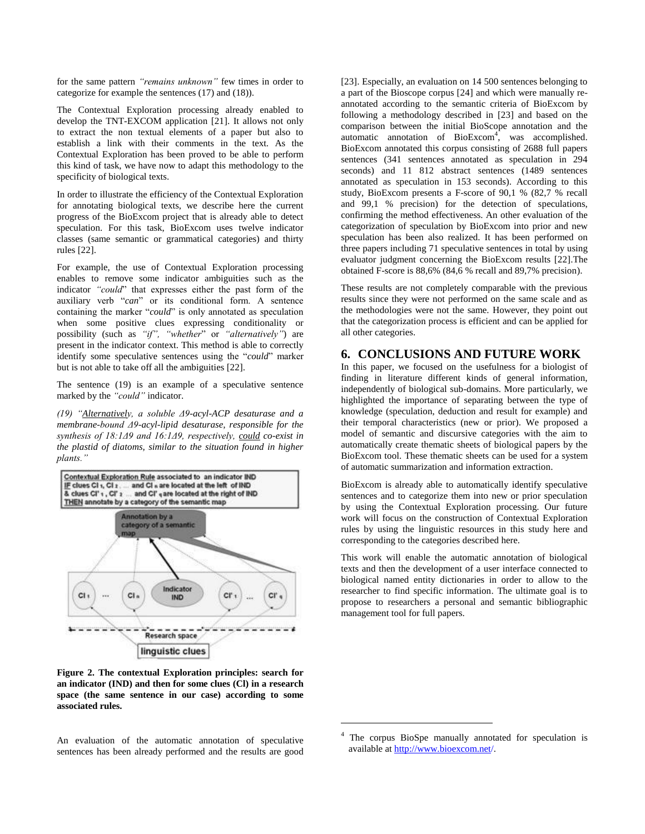for the same pattern *"remains unknown"* few times in order to categorize for example the sentences (17) and (18)).

The Contextual Exploration processing already enabled to develop the TNT-EXCOM application [21]. It allows not only to extract the non textual elements of a paper but also to establish a link with their comments in the text. As the Contextual Exploration has been proved to be able to perform this kind of task, we have now to adapt this methodology to the specificity of biological texts.

In order to illustrate the efficiency of the Contextual Exploration for annotating biological texts, we describe here the current progress of the BioExcom project that is already able to detect speculation. For this task, BioExcom uses twelve indicator classes (same semantic or grammatical categories) and thirty rules [22].

For example, the use of Contextual Exploration processing enables to remove some indicator ambiguities such as the indicator *"could*" that expresses either the past form of the auxiliary verb "*can*" or its conditional form. A sentence containing the marker "*could*" is only annotated as speculation when some positive clues expressing conditionality or possibility (such as *"if", "whether*" or *"alternatively"*) are present in the indicator context. This method is able to correctly identify some speculative sentences using the "*could*" marker but is not able to take off all the ambiguities [22].

The sentence (19) is an example of a speculative sentence marked by the *"could"* indicator.

*(19) "Alternatively, a soluble Δ9-acyl-ACP desaturase and a membrane-bound Δ9-acyl-lipid desaturase, responsible for the synthesis of 18:1Δ9 and 16:1Δ9, respectively, could co-exist in the plastid of diatoms, similar to the situation found in higher plants."*



**Figure 2. The contextual Exploration principles: search for an indicator (IND) and then for some clues (Cl) in a research space (the same sentence in our case) according to some associated rules.**

An evaluation of the automatic annotation of speculative sentences has been already performed and the results are good

[23]. Especially, an evaluation on 14 500 sentences belonging to a part of the Bioscope corpus [24] and which were manually reannotated according to the semantic criteria of BioExcom by following a methodology described in [23] and based on the comparison between the initial BioScope annotation and the automatic annotation of BioExcom<sup>4</sup>, was accomplished. BioExcom annotated this corpus consisting of 2688 full papers sentences (341 sentences annotated as speculation in 294 seconds) and 11 812 abstract sentences (1489 sentences annotated as speculation in 153 seconds). According to this study, BioExcom presents a F-score of 90,1 % (82,7 % recall and 99,1 % precision) for the detection of speculations, confirming the method effectiveness. An other evaluation of the categorization of speculation by BioExcom into prior and new speculation has been also realized. It has been performed on three papers including 71 speculative sentences in total by using evaluator judgment concerning the BioExcom results [22].The obtained F-score is 88,6% (84,6 % recall and 89,7% precision).

These results are not completely comparable with the previous results since they were not performed on the same scale and as the methodologies were not the same. However, they point out that the categorization process is efficient and can be applied for all other categories.

### **6. CONCLUSIONS AND FUTURE WORK**

In this paper, we focused on the usefulness for a biologist of finding in literature different kinds of general information, independently of biological sub-domains. More particularly, we highlighted the importance of separating between the type of knowledge (speculation, deduction and result for example) and their temporal characteristics (new or prior). We proposed a model of semantic and discursive categories with the aim to automatically create thematic sheets of biological papers by the BioExcom tool. These thematic sheets can be used for a system of automatic summarization and information extraction.

BioExcom is already able to automatically identify speculative sentences and to categorize them into new or prior speculation by using the Contextual Exploration processing. Our future work will focus on the construction of Contextual Exploration rules by using the linguistic resources in this study here and corresponding to the categories described here.

This work will enable the automatic annotation of biological texts and then the development of a user interface connected to biological named entity dictionaries in order to allow to the researcher to find specific information. The ultimate goal is to propose to researchers a personal and semantic bibliographic management tool for full papers.

l

The corpus BioSpe manually annotated for speculation is available at http://www.bioexcom.net/.